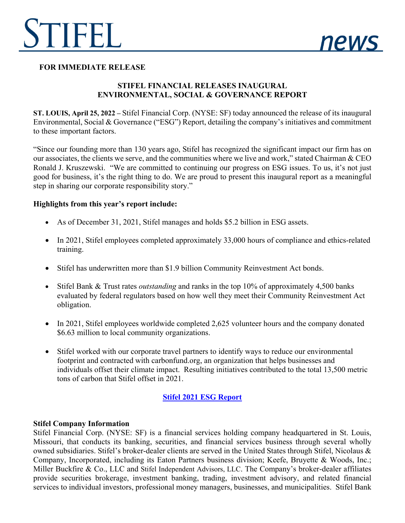



## **FOR IMMEDIATE RELEASE**

# **STIFEL FINANCIAL RELEASES INAUGURAL ENVIRONMENTAL, SOCIAL & GOVERNANCE REPORT**

**ST. LOUIS, April 25, 2022 –** Stifel Financial Corp. (NYSE: SF) today announced the release of its inaugural Environmental, Social & Governance ("ESG") Report, detailing the company's initiatives and commitment to these important factors.

"Since our founding more than 130 years ago, Stifel has recognized the significant impact our firm has on our associates, the clients we serve, and the communities where we live and work," stated Chairman & CEO Ronald J. Kruszewski. "We are committed to continuing our progress on ESG issues. To us, it's not just good for business, it's the right thing to do. We are proud to present this inaugural report as a meaningful step in sharing our corporate responsibility story."

### **Highlights from this year's report include:**

- As of December 31, 2021, Stifel manages and holds \$5.2 billion in ESG assets.
- In 2021, Stifel employees completed approximately 33,000 hours of compliance and ethics-related training.
- Stifel has underwritten more than \$1.9 billion Community Reinvestment Act bonds.
- Stifel Bank & Trust rates *outstanding* and ranks in the top 10% of approximately 4,500 banks evaluated by federal regulators based on how well they meet their Community Reinvestment Act obligation.
- In 2021, Stifel employees worldwide completed 2,625 volunteer hours and the company donated \$6.63 million to local community organizations.
- Stifel worked with our corporate travel partners to identify ways to reduce our environmental footprint and contracted with carbonfund.org, an organization that helps businesses and individuals offset their climate impact. Resulting initiatives contributed to the total 13,500 metric tons of carbon that Stifel offset in 2021.

# **[Stifel 2021 ESG Report](https://www.stifel.com/docs/pdf/esg/Stifel-2021-ESG-Report.pdf)**

### **Stifel Company Information**

Stifel Financial Corp. (NYSE: SF) is a financial services holding company headquartered in St. Louis, Missouri, that conducts its banking, securities, and financial services business through several wholly owned subsidiaries. Stifel's broker-dealer clients are served in the United States through Stifel, Nicolaus & Company, Incorporated, including its Eaton Partners business division; Keefe, Bruyette & Woods, Inc.; Miller Buckfire & Co., LLC and Stifel Independent Advisors, LLC. The Company's broker-dealer affiliates provide securities brokerage, investment banking, trading, investment advisory, and related financial services to individual investors, professional money managers, businesses, and municipalities. Stifel Bank